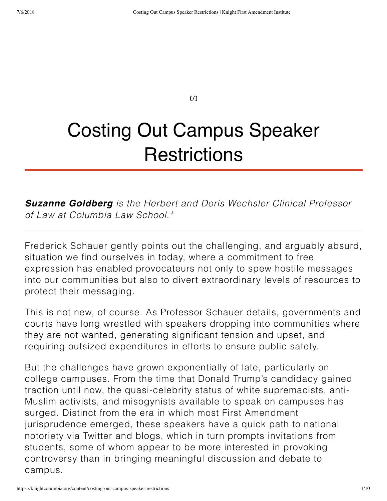$(1)$ 

# Costing Out Campus Speaker **Restrictions**

*Suzanne Goldberg is the Herbert and Doris Wechsler Clinical Professor of Law at Columbia Law School. +*

Frederick Schauer gently points out the challenging, and arguably absurd, situation we find ourselves in today, where a commitment to free expression has enabled provocateurs not only to spew hostile messages into our communities but also to divert extraordinary levels of resources to protect their messaging.

This is not new, of course. As Professor Schauer details, governments and courts have long wrestled with speakers dropping into communities where they are not wanted, generating significant tension and upset, and requiring outsized expenditures in efforts to ensure public safety.

But the challenges have grown exponentially of late, particularly on college campuses. From the time that Donald Trump's candidacy gained traction until now, the quasi-celebrity status of white supremacists, anti-Muslim activists, and misogynists available to speak on campuses has surged. Distinct from the era in which most First Amendment jurisprudence emerged, these speakers have a quick path to national notoriety via Twitter and blogs, which in turn prompts invitations from students, some of whom appear to be more interested in provoking controversy than in bringing meaningful discussion and debate to campus.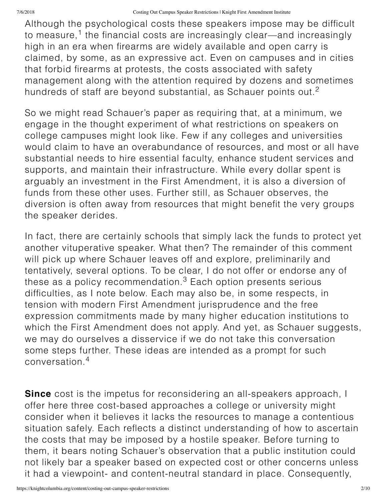<span id="page-1-0"></span>Although the psychological costs these speakers impose may be difficult to measure, $^{\text{1}}$  $^{\text{1}}$  $^{\text{1}}$  the financial costs are increasingly clear—and increasingly high in an era when firearms are widely available and open carry is claimed, by some, as an expressive act. Even on campuses and in cities that forbid firearms at protests, the costs associated with safety management along with the attention required by dozens and sometimes hundreds of staff are beyond substantial, as Schauer points out.<sup>[2](#page-5-1)</sup>

<span id="page-1-1"></span>So we might read Schauer's paper as requiring that, at a minimum, we engage in the thought experiment of what restrictions on speakers on college campuses might look like. Few if any colleges and universities would claim to have an overabundance of resources, and most or all have substantial needs to hire essential faculty, enhance student services and supports, and maintain their infrastructure. While every dollar spent is arguably an investment in the First Amendment, it is also a diversion of funds from these other uses. Further still, as Schauer observes, the diversion is often away from resources that might benefit the very groups the speaker derides.

<span id="page-1-2"></span>In fact, there are certainly schools that simply lack the funds to protect yet another vituperative speaker. What then? The remainder of this comment will pick up where Schauer leaves off and explore, preliminarily and tentatively, several options. To be clear, I do not offer or endorse any of these as a policy recommendation. $^3$  $^3$  Each option presents serious difficulties, as I note below. Each may also be, in some respects, in tension with modern First Amendment jurisprudence and the free expression commitments made by many higher education institutions to which the First Amendment does not apply. And yet, as Schauer suggests, we may do ourselves a disservice if we do not take this conversation some steps further. These ideas are intended as a prompt for such conversation. [4](#page-6-1)

<span id="page-1-3"></span>**Since** cost is the impetus for reconsidering an all-speakers approach, I offer here three cost-based approaches a college or university might consider when it believes it lacks the resources to manage a contentious situation safely. Each reflects a distinct understanding of how to ascertain the costs that may be imposed by a hostile speaker. Before turning to them, it bears noting Schauer's observation that a public institution could not likely bar a speaker based on expected cost or other concerns unless it had a viewpoint- and content-neutral standard in place. Consequently,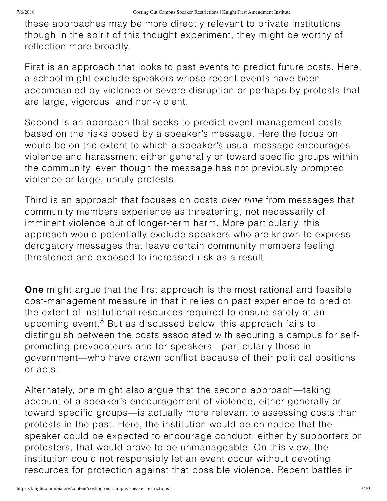these approaches may be more directly relevant to private institutions, though in the spirit of this thought experiment, they might be worthy of reflection more broadly.

First is an approach that looks to past events to predict future costs. Here, a school might exclude speakers whose recent events have been accompanied by violence or severe disruption or perhaps by protests that are large, vigorous, and non-violent.

Second is an approach that seeks to predict event-management costs based on the risks posed by a speaker's message. Here the focus on would be on the extent to which a speaker's usual message encourages violence and harassment either generally or toward specific groups within the community, even though the message has not previously prompted violence or large, unruly protests.

Third is an approach that focuses on costs *over time* from messages that community members experience as threatening, not necessarily of imminent violence but of longer-term harm. More particularly, this approach would potentially exclude speakers who are known to express derogatory messages that leave certain community members feeling threatened and exposed to increased risk as a result.

<span id="page-2-0"></span>**One** might argue that the first approach is the most rational and feasible cost-management measure in that it relies on past experience to predict the extent of institutional resources required to ensure safety at an upcoming event. $^5$  $^5$  But as discussed below, this approach fails to distinguish between the costs associated with securing a campus for selfpromoting provocateurs and for speakers—particularly those in government—who have drawn conflict because of their political positions or acts.

Alternately, one might also argue that the second approach—taking account of a speaker's encouragement of violence, either generally or toward specific groups—is actually more relevant to assessing costs than protests in the past. Here, the institution would be on notice that the speaker could be expected to encourage conduct, either by supporters or protesters, that would prove to be unmanageable. On this view, the institution could not responsibly let an event occur without devoting resources for protection against that possible violence. Recent battles in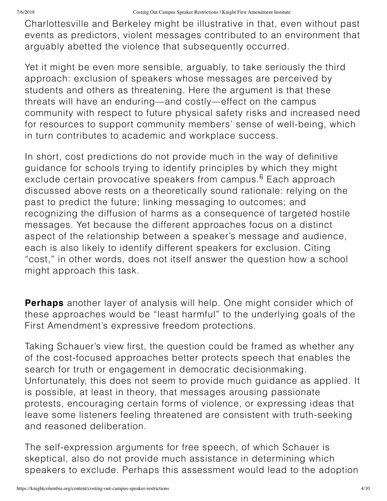Charlottesville and Berkeley might be illustrative in that, even without past events as predictors, violent messages contributed to an environment that arguably abetted the violence that subsequently occurred.

Yet it might be even more sensible, arguably, to take seriously the third approach: exclusion of speakers whose messages are perceived by students and others as threatening. Here the argument is that these threats will have an enduring—and costly—effect on the campus community with respect to future physical safety risks and increased need for resources to support community members' sense of well-being, which in turn contributes to academic and workplace success.

<span id="page-3-0"></span>In short, cost predictions do not provide much in the way of definitive guidance for schools trying to identify principles by which they might exclude certain provocative speakers from campus.<sup>[6](#page-6-3)</sup> Each approach discussed above rests on a theoretically sound rationale: relying on the past to predict the future; linking messaging to outcomes; and recognizing the diffusion of harms as a consequence of targeted hostile messages. Yet because the different approaches focus on a distinct aspect of the relationship between a speaker's message and audience, each is also likely to identify different speakers for exclusion. Citing "cost," in other words, does not itself answer the question how a school might approach this task.

**Perhaps** another layer of analysis will help. One might consider which of these approaches would be "least harmful" to the underlying goals of the First Amendment's expressive freedom protections.

Taking Schauer's view first, the question could be framed as whether any of the cost-focused approaches better protects speech that enables the search for truth or engagement in democratic decisionmaking. Unfortunately, this does not seem to provide much guidance as applied. It is possible, at least in theory, that messages arousing passionate protests, encouraging certain forms of violence, or expressing ideas that leave some listeners feeling threatened are consistent with truth-seeking and reasoned deliberation.

The self-expression arguments for free speech, of which Schauer is skeptical, also do not provide much assistance in determining which speakers to exclude. Perhaps this assessment would lead to the adoption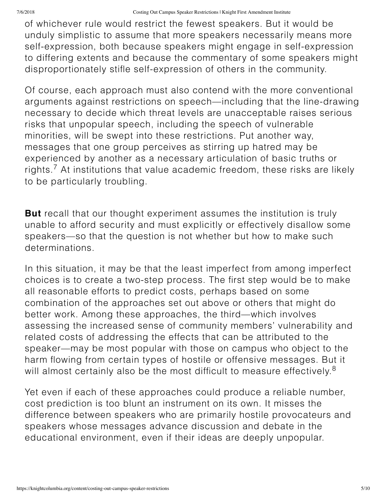of whichever rule would restrict the fewest speakers. But it would be unduly simplistic to assume that more speakers necessarily means more self-expression, both because speakers might engage in self-expression to differing extents and because the commentary of some speakers might disproportionately stifle self-expression of others in the community.

Of course, each approach must also contend with the more conventional arguments against restrictions on speech—including that the line-drawing necessary to decide which threat levels are unacceptable raises serious risks that unpopular speech, including the speech of vulnerable minorities, will be swept into these restrictions. Put another way, messages that one group perceives as stirring up hatred may be experienced by another as a necessary articulation of basic truths or rights.<sup>[7](#page-6-4)</sup> At institutions that value academic freedom, these risks are likely to be particularly troubling.

<span id="page-4-0"></span>**But** recall that our thought experiment assumes the institution is truly unable to afford security and must explicitly or effectively disallow some speakers—so that the question is not whether but how to make such determinations.

In this situation, it may be that the least imperfect from among imperfect choices is to create a two-step process. The first step would be to make all reasonable efforts to predict costs, perhaps based on some combination of the approaches set out above or others that might do better work. Among these approaches, the third—which involves assessing the increased sense of community members' vulnerability and related costs of addressing the effects that can be attributed to the speaker—may be most popular with those on campus who object to the harm flowing from certain types of hostile or offensive messages. But it will almost certainly also be the most difficult to measure effectively. $^8$  $^8$ 

<span id="page-4-1"></span>Yet even if each of these approaches could produce a reliable number, cost prediction is too blunt an instrument on its own. It misses the difference between speakers who are primarily hostile provocateurs and speakers whose messages advance discussion and debate in the educational environment, even if their ideas are deeply unpopular.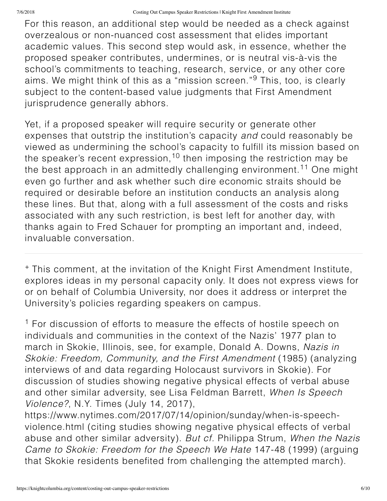For this reason, an additional step would be needed as a check against overzealous or non-nuanced cost assessment that elides important academic values. This second step would ask, in essence, whether the proposed speaker contributes, undermines, or is neutral vis-à-vis the school's commitments to teaching, research, service, or any other core aims. We might think of this as a "mission screen."<sup>[9](#page-7-1)</sup> This, too, is clearly subject to the content-based value judgments that First Amendment jurisprudence generally abhors.

<span id="page-5-4"></span><span id="page-5-3"></span><span id="page-5-2"></span>Yet, if a proposed speaker will require security or generate other expenses that outstrip the institution's capacity *and* could reasonably be viewed as undermining the school's capacity to fulfill its mission based on the speaker's recent expression,<sup>[10](#page-7-2)</sup> then imposing the restriction may be the best approach in an admittedly challenging environment.<sup>[11](#page-7-3)</sup> One might even go further and ask whether such dire economic straits should be required or desirable before an institution conducts an analysis along these lines. But that, along with a full assessment of the costs and risks associated with any such restriction, is best left for another day, with thanks again to Fred Schauer for prompting an important and, indeed, invaluable conversation.

This comment, at the invitation of the Knight First Amendment Institute, + explores ideas in my personal capacity only. It does not express views for or on behalf of Columbia University, nor does it address or interpret the University's policies regarding speakers on campus.

<span id="page-5-0"></span> $1$  For discussion of efforts to measure the effects of hostile speech on individuals and communities in the context of the Nazis' 1977 plan to march in Skokie, Illinois, see, for example, Donald A. Downs, *Nazis in Skokie: Freedom, Community, and the First Amendment* (1985) (analyzing interviews of and data regarding Holocaust survivors in Skokie). For discussion of studies showing negative physical effects of verbal abuse and other similar adversity, see Lisa Feldman Barrett, *When Is Speech Violence?*, N.Y. Times (July 14, 2017),

<span id="page-5-1"></span>https://www.nytimes.com/2017/07/14/opinion/sunday/when-is-speechviolence.html (citing studies showing negative physical effects of verbal abuse and other similar adversity). *But cf.* Philippa Strum, *When the Nazis Came to Skokie: Freedom for the Speech We Hate* 147-48 (1999) (arguing that Skokie residents benefited from challenging the attempted march).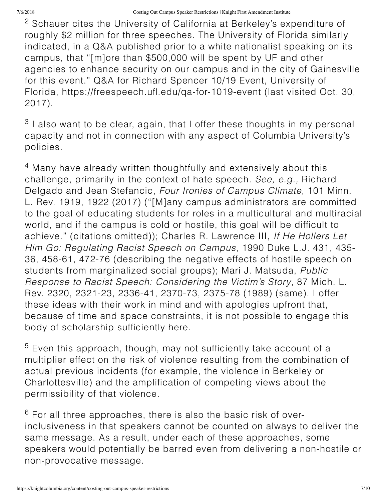$2$  Schauer cites the University of California at Berkeley's expenditure of roughly \$2 million for three speeches. The University of Florida similarly indicated, in a Q&A published prior to a white nationalist speaking on its campus, that "[m]ore than \$500,000 will be spent by UF and other agencies to enhance security on our campus and in the city of Gainesville for this event." Q&A for Richard Spencer 10/19 Event, University of Florida, https://freespeech.ufl.edu/qa-for-1019-event (last visited Oct. 30, 2017).

<span id="page-6-0"></span> $3$  I also want to be clear, again, that I offer these thoughts in my personal capacity and not in connection with any aspect of Columbia University's policies.

<span id="page-6-1"></span><sup>[4](#page-1-3)</sup> Many have already written thoughtfully and extensively about this challenge, primarily in the context of hate speech. *See, e.g.,* Richard Delgado and Jean Stefancic, *Four Ironies of Campus Climate*, 101 Minn. L. Rev. 1919, 1922 (2017) ("[M]any campus administrators are committed to the goal of educating students for roles in a multicultural and multiracial world, and if the campus is cold or hostile, this goal will be difficult to achieve." (citations omitted)); Charles R. Lawrence III, *If He Hollers Let Him Go: Regulating Racist Speech on Campus*, 1990 Duke L.J. 431, 435- 36, 458-61, 472-76 (describing the negative effects of hostile speech on students from marginalized social groups); Mari J. Matsuda, *Public Response to Racist Speech: Considering the Victim's Story*, 87 Mich. L. Rev. 2320, 2321-23, 2336-41, 2370-73, 2375-78 (1989) (same). I offer these ideas with their work in mind and with apologies upfront that, because of time and space constraints, it is not possible to engage this body of scholarship sufficiently here.

<span id="page-6-2"></span> $^5$  $^5$  Even this approach, though, may not sufficiently take account of a multiplier effect on the risk of violence resulting from the combination of actual previous incidents (for example, the violence in Berkeley or Charlottesville) and the amplification of competing views about the permissibility of that violence.

<span id="page-6-4"></span><span id="page-6-3"></span> $^6$  $^6$  For all three approaches, there is also the basic risk of overinclusiveness in that speakers cannot be counted on always to deliver the same message. As a result, under each of these approaches, some speakers would potentially be barred even from delivering a non-hostile or non-provocative message.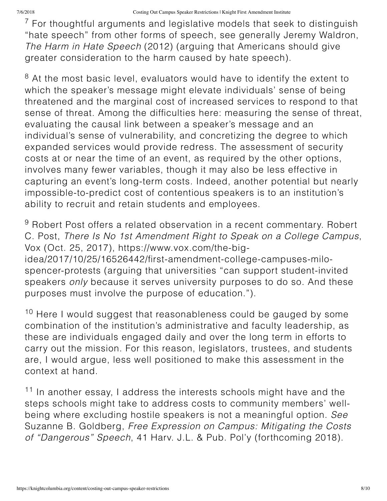$7$  For thoughtful arguments and legislative models that seek to distinguish "hate speech" from other forms of speech, see generally Jeremy Waldron, *The Harm in Hate Speech* (2012) (arguing that Americans should give greater consideration to the harm caused by hate speech).

<span id="page-7-0"></span> $8$  At the most basic level, evaluators would have to identify the extent to which the speaker's message might elevate individuals' sense of being threatened and the marginal cost of increased services to respond to that sense of threat. Among the difficulties here: measuring the sense of threat, evaluating the causal link between a speaker's message and an individual's sense of vulnerability, and concretizing the degree to which expanded services would provide redress. The assessment of security costs at or near the time of an event, as required by the other options, involves many fewer variables, though it may also be less effective in capturing an event's long-term costs. Indeed, another potential but nearly impossible-to-predict cost of contentious speakers is to an institution's ability to recruit and retain students and employees.

<span id="page-7-1"></span> $^9$  $^9$  Robert Post offers a related observation in a recent commentary. Robert C. Post, *There Is No 1st Amendment Right to Speak on a College Campus*, Vox (Oct. 25, 2017), https://www.vox.com/the-bigidea/2017/10/25/16526442/first-amendment-college-campuses-milospencer-protests (arguing that universities "can support student-invited speakers *only* because it serves university purposes to do so. And these purposes must involve the purpose of education.").

<span id="page-7-2"></span> $10$  Here I would suggest that reasonableness could be gauged by some combination of the institution's administrative and faculty leadership, as these are individuals engaged daily and over the long term in efforts to carry out the mission. For this reason, legislators, trustees, and students are, I would argue, less well positioned to make this assessment in the context at hand.

<span id="page-7-3"></span> $11$  In another essay, I address the interests schools might have and the steps schools might take to address costs to community members' wellbeing where excluding hostile speakers is not a meaningful option. *See* Suzanne B. Goldberg, *Free Expression on Campus: Mitigating the Costs of "Dangerous" Speech*, 41 Harv. J.L. & Pub. Pol'y (forthcoming 2018).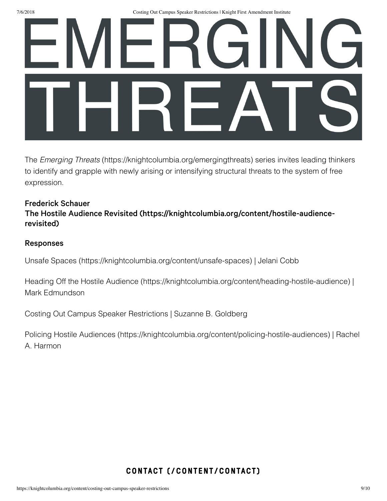

The *Emerging Threats* [\(https://knightcolumbia.org/emergingthreats\)](https://knightcolumbia.org/emergingthreats) series invites leading thinkers to identify and grapple with newly arising or intensifying structural threats to the system of free expression.

### Frederick Schauer

The Hostile Audience Revisited [\(https://knightcolumbia.org/content/hostile-audience](https://knightcolumbia.org/content/hostile-audience-revisited)revisited)

#### Responses

Unsafe Spaces [\(https://knightcolumbia.org/content/unsafe-spaces\)](https://knightcolumbia.org/content/unsafe-spaces) | Jelani Cobb

Heading Off the Hostile Audience [\(https://knightcolumbia.org/content/heading-hostile-audience\)](https://knightcolumbia.org/content/heading-hostile-audience) | Mark Edmundson

Costing Out Campus Speaker Restrictions | Suzanne B. Goldberg

Policing Hostile Audiences [\(https://knightcolumbia.org/content/policing-hostile-audiences\)](https://knightcolumbia.org/content/policing-hostile-audiences) | Rachel A. Harmon

## C[O](https://knightcolumbia.org/content/contact)NTACT (/CONTENT/CONTACT)